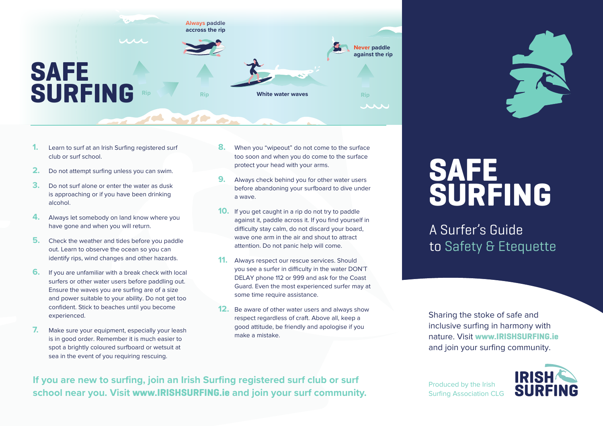

- **1.** Learn to surf at an Irish Surfing registered surf club or surf school.
- **2.** Do not attempt surfing unless you can swim.
- **3.** Do not surf alone or enter the water as dusk is approaching or if you have been drinking alcohol.
- **4.** Always let somebody on land know where you have gone and when you will return.
- **5.** Check the weather and tides before you paddle out. Learn to observe the ocean so you can identify rips, wind changes and other hazards.
- **6.** If you are unfamiliar with a break check with local surfers or other water users before paddling out. Ensure the waves you are surfing are of a size and power suitable to your ability. Do not get too confident. Stick to beaches until you become experienced.
- **7.** Make sure your equipment, especially your leash is in good order. Remember it is much easier to spot a brightly coloured surfboard or wetsuit at sea in the event of you requiring rescuing.
- **8.** When you "wipeout" do not come to the surface too soon and when you do come to the surface protect your head with your arms.
- **9.** Always check behind you for other water users before abandoning your surfboard to dive under a wave.
- **10.** If you get caught in a rip do not try to paddle against it, paddle across it. If you find yourself in difficulty stay calm, do not discard your board, wave one arm in the air and shout to attract attention. Do not panic help will come.
- **11.** Always respect our rescue services. Should you see a surfer in difficulty in the water DON'T DELAY phone 112 or 999 and ask for the Coast Guard. Even the most experienced surfer may at some time require assistance.
- **12.** Be aware of other water users and always show respect regardless of craft. Above all, keep a good attitude, be friendly and apologise if you make a mistake.

## **SAFE SURFING**

A Surfer's Guide to Safety & Etequette

Sharing the stoke of safe and inclusive surfing in harmony with nature. Visit **www.IRISHSURFING.ie**  and join your surfing community.

**If you are new to surfing, join an Irish Surfing registered surf club or surf school near you. Visit www.IRISHSURFING.ie and join your surf community.**

Produced by the Irish Surfing Association CLG